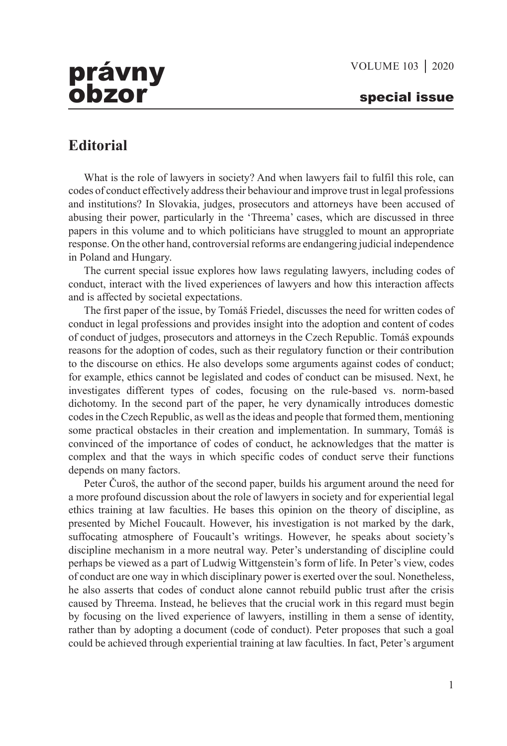## právny obzor special issue

## **Editorial**

What is the role of lawyers in society? And when lawyers fail to fulfil this role, can codes of conduct effectively address their behaviour and improve trust in legal professions and institutions? In Slovakia, judges, prosecutors and attorneys have been accused of abusing their power, particularly in the 'Threema' cases, which are discussed in three papers in this volume and to which politicians have struggled to mount an appropriate response. On the other hand, controversial reforms are endangering judicial independence in Poland and Hungary.

The current special issue explores how laws regulating lawyers, including codes of conduct, interact with the lived experiences of lawyers and how this interaction affects and is affected by societal expectations.

The first paper of the issue, by Tomáš Friedel, discusses the need for written codes of conduct in legal professions and provides insight into the adoption and content of codes of conduct of judges, prosecutors and attorneys in the Czech Republic. Tomáš expounds reasons for the adoption of codes, such as their regulatory function or their contribution to the discourse on ethics. He also develops some arguments against codes of conduct; for example, ethics cannot be legislated and codes of conduct can be misused. Next, he investigates different types of codes, focusing on the rule-based vs. norm-based dichotomy. In the second part of the paper, he very dynamically introduces domestic codes in the Czech Republic, as well as the ideas and people that formed them, mentioning some practical obstacles in their creation and implementation. In summary, Tomáš is convinced of the importance of codes of conduct, he acknowledges that the matter is complex and that the ways in which specific codes of conduct serve their functions depends on many factors.

Peter Čuroš, the author of the second paper, builds his argument around the need for a more profound discussion about the role of lawyers in society and for experiential legal ethics training at law faculties. He bases this opinion on the theory of discipline, as presented by Michel Foucault. However, his investigation is not marked by the dark, suffocating atmosphere of Foucault's writings. However, he speaks about society's discipline mechanism in a more neutral way. Peter's understanding of discipline could perhaps be viewed as a part of Ludwig Wittgenstein's form of life. In Peter's view, codes of conduct are one way in which disciplinary power is exerted over the soul. Nonetheless, he also asserts that codes of conduct alone cannot rebuild public trust after the crisis caused by Threema. Instead, he believes that the crucial work in this regard must begin by focusing on the lived experience of lawyers, instilling in them a sense of identity, rather than by adopting a document (code of conduct). Peter proposes that such a goal could be achieved through experiential training at law faculties. In fact, Peter's argument